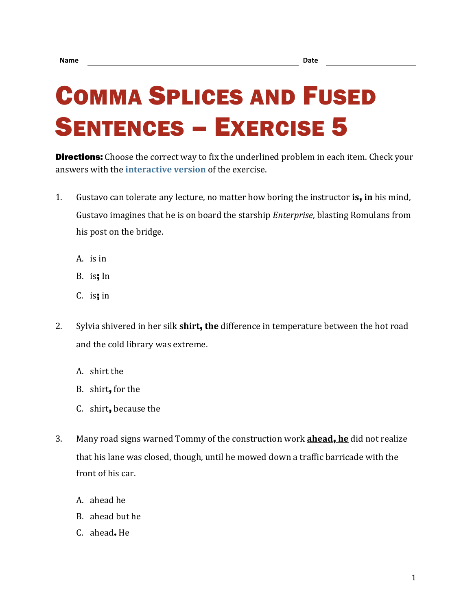## COMMA SPLICES AND FUSED SENTENCES – EXERCISE 5

**Directions:** Choose the correct way to fix the underlined problem in each item. Check your answers with the **[interactive version](https://chompchomp.com/csfs05/)** of the exercise.

- 1. Gustavo can tolerate any lecture, no matter how boring the instructor **is**, **in** his mind, Gustavo imagines that he is on board the starship *Enterprise*, blasting Romulans from his post on the bridge.
	- A. is in
	- B. is; In
	- $C.$  is; in
- 2. Sylvia shivered in her silk **shirt**, **the** difference in temperature between the hot road and the cold library was extreme.
	- A. shirt the
	- B. shirt, for the
	- C. shirt, because the
- 3. Many road signs warned Tommy of the construction work **ahead**, **he** did not realize that his lane was closed, though, until he mowed down a traffic barricade with the front of his car.
	- A. ahead he
	- B. ahead but he
	- C. ahead**.** He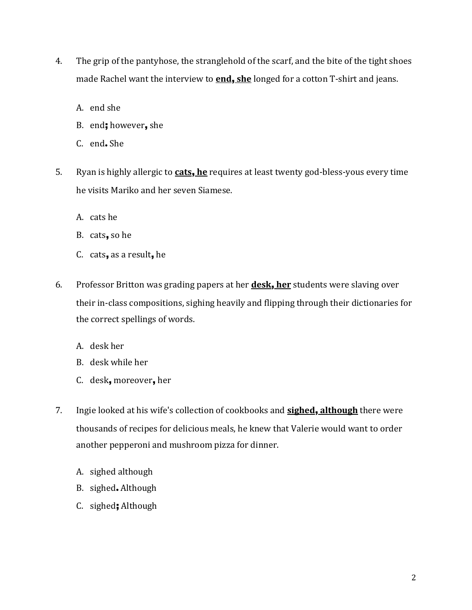- 4. The grip of the pantyhose, the stranglehold of the scarf, and the bite of the tight shoes made Rachel want the interview to **end**, **she** longed for a cotton T-shirt and jeans.
	- A. end she
	- B. end; however, she
	- C. end**.** She
- 5. Ryan is highly allergic to **cats**, **he** requires at least twenty god-bless-yous every time he visits Mariko and her seven Siamese.
	- A. cats he
	- B. cats, so he
	- C. cats, as a result, he
- 6. Professor Britton was grading papers at her **desk**, **her** students were slaving over their in-class compositions, sighing heavily and flipping through their dictionaries for the correct spellings of words.
	- A. desk her
	- B. desk while her
	- C. desk, moreover, her
- 7. Ingie looked at his wife's collection of cookbooks and **sighed**, **although** there were thousands of recipes for delicious meals, he knew that Valerie would want to order another pepperoni and mushroom pizza for dinner.
	- A. sighed although
	- B. sighed**.** Although
	- C. sighed; Although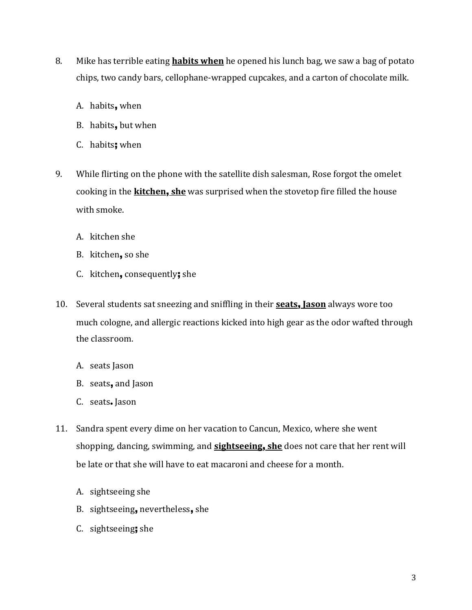- 8. Mike has terrible eating **habits when** he opened his lunch bag, we saw a bag of potato chips, two candy bars, cellophane-wrapped cupcakes, and a carton of chocolate milk.
	- A. habits, when
	- B. habits, but when
	- C. habits; when
- 9. While flirting on the phone with the satellite dish salesman, Rose forgot the omelet cooking in the **kitchen**, **she** was surprised when the stovetop fire filled the house with smoke.
	- A. kitchen she
	- B. kitchen, so she
	- C. kitchen, consequently; she
- 10. Several students sat sneezing and sniffling in their **seats**, **Jason** always wore too much cologne, and allergic reactions kicked into high gear as the odor wafted through the classroom.
	- A. seats Jason
	- B. seats, and Jason
	- C. seats**.** Jason
- 11. Sandra spent every dime on her vacation to Cancun, Mexico, where she went shopping, dancing, swimming, and **sightseeing**, **she** does not care that her rent will be late or that she will have to eat macaroni and cheese for a month.
	- A. sightseeing she
	- B. sightseeing, nevertheless, she
	- C. sightseeing; she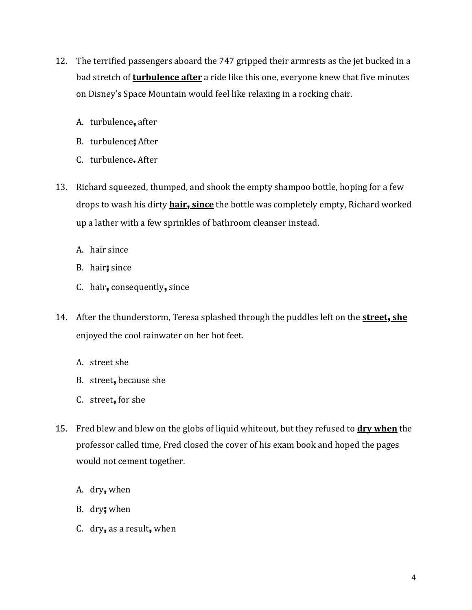- 12. The terrified passengers aboard the 747 gripped their armrests as the jet bucked in a bad stretch of **turbulence after** a ride like this one, everyone knew that five minutes on Disney's Space Mountain would feel like relaxing in a rocking chair.
	- A. turbulence, after
	- B. turbulence; After
	- C. turbulence**.** After
- 13. Richard squeezed, thumped, and shook the empty shampoo bottle, hoping for a few drops to wash his dirty **hair**, **since** the bottle was completely empty, Richard worked up a lather with a few sprinkles of bathroom cleanser instead.
	- A. hair since
	- B. hair; since
	- C. hair, consequently, since
- 14. After the thunderstorm, Teresa splashed through the puddles left on the **street**, **she** enjoyed the cool rainwater on her hot feet.
	- A. street she
	- B. street, because she
	- C. street, for she
- 15. Fred blew and blew on the globs of liquid whiteout, but they refused to **dry when** the professor called time, Fred closed the cover of his exam book and hoped the pages would not cement together.
	- A. dry, when
	- B. dry; when
	- C. dry, as a result, when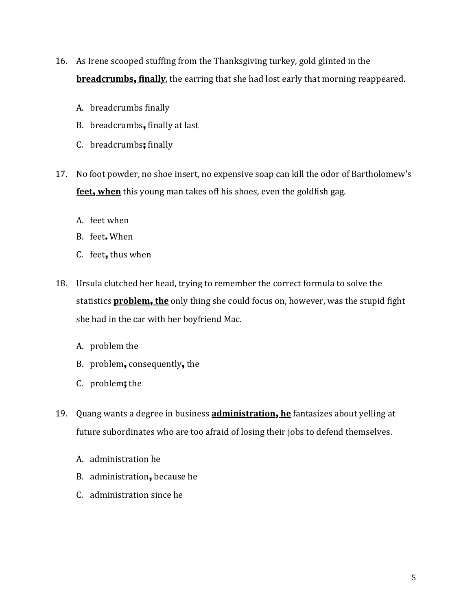- 16. As Irene scooped stuffing from the Thanksgiving turkey, gold glinted in the **breadcrumbs**, **finally**, the earring that she had lost early that morning reappeared.
	- A. breadcrumbs finally
	- B. breadcrumbs, finally at last
	- C. breadcrumbs; finally
- 17. No foot powder, no shoe insert, no expensive soap can kill the odor of Bartholomew's **feet**, **when** this young man takes off his shoes, even the goldfish gag.
	- A. feet when
	- B. feet**.** When
	- C. feet, thus when
- 18. Ursula clutched her head, trying to remember the correct formula to solve the statistics **problem**, **the** only thing she could focus on, however, was the stupid fight she had in the car with her boyfriend Mac.
	- A. problem the
	- B. problem, consequently, the
	- C. problem; the
- 19. Quang wants a degree in business **administration**, **he** fantasizes about yelling at future subordinates who are too afraid of losing their jobs to defend themselves.
	- A. administration he
	- B. administration, because he
	- C. administration since he